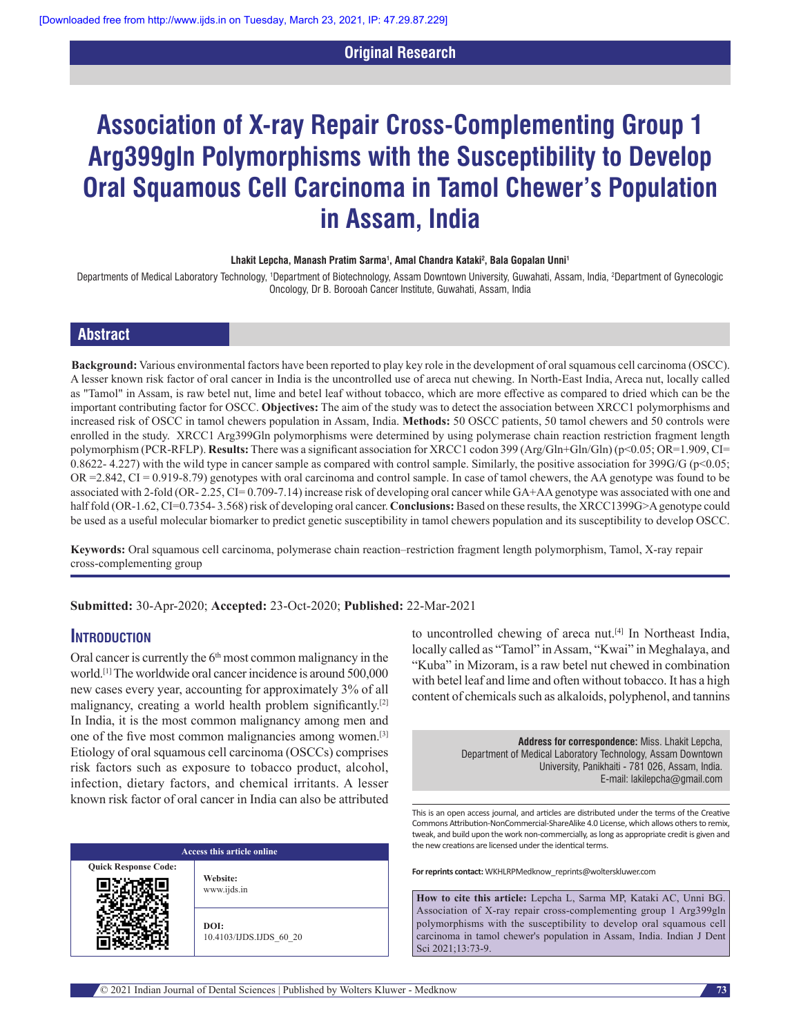# **Original Research**

# **Association of X‑ray Repair Cross‑Complementing Group 1 Arg399gln Polymorphisms with the Susceptibility to Develop Oral Squamous Cell Carcinoma in Tamol Chewer's Population in Assam, India**

#### **Lhakit Lepcha, Manash Pratim Sarma1 , Amal Chandra Kataki2 , Bala Gopalan Unni1**

Departments of Medical Laboratory Technology, 1Department of Biotechnology, Assam Downtown University, Guwahati, Assam, India, 2Department of Gynecologic Oncology, Dr B. Borooah Cancer Institute, Guwahati, Assam, India

# **Abstract**

**Background:** Various environmental factors have been reported to play key role in the development of oral squamous cell carcinoma (OSCC). A lesser known risk factor of oral cancer in India is the uncontrolled use of areca nut chewing. In North-East India, Areca nut, locally called as "Tamol" in Assam, is raw betel nut, lime and betel leaf without tobacco, which are more effective as compared to dried which can be the important contributing factor for OSCC. **Objectives:** The aim of the study was to detect the association between XRCC1 polymorphisms and increased risk of OSCC in tamol chewers population in Assam, India. **Methods:** 50 OSCC patients, 50 tamol chewers and 50 controls were enrolled in the study. XRCC1 Arg399Gln polymorphisms were determined by using polymerase chain reaction restriction fragment length polymorphism (PCR-RFLP). **Results:** There was a significant association for XRCC1 codon 399 (Arg/Gln+Gln/Gln) (p<0.05; OR=1.909, CI= 0.8622- 4.227) with the wild type in cancer sample as compared with control sample. Similarly, the positive association for 399G/G (p<0.05; OR =2.842, CI = 0.919-8.79) genotypes with oral carcinoma and control sample. In case of tamol chewers, the AA genotype was found to be associated with 2-fold (OR- 2.25, CI= 0.709-7.14) increase risk of developing oral cancer while GA+AA genotype was associated with one and half fold (OR-1.62, CI=0.7354- 3.568) risk of developing oral cancer. **Conclusions:** Based on these results, the XRCC1399G>A genotype could be used as a useful molecular biomarker to predict genetic susceptibility in tamol chewers population and its susceptibility to develop OSCC.

Keywords: Oral squamous cell carcinoma, polymerase chain reaction–restriction fragment length polymorphism, Tamol, X-ray repair cross‑complementing group

**Submitted:** 30‑Apr‑2020; **Accepted:** 23-Oct-2020; **Published:** 22-Mar-2021

#### **Introduction**

Oral cancer is currently the  $6<sup>th</sup>$  most common malignancy in the world.[1] The worldwide oral cancer incidence is around 500,000 new cases every year, accounting for approximately 3% of all malignancy, creating a world health problem significantly.[2] In India, it is the most common malignancy among men and one of the five most common malignancies among women.[3] Etiology of oral squamous cell carcinoma (OSCCs) comprises risk factors such as exposure to tobacco product, alcohol, infection, dietary factors, and chemical irritants. A lesser known risk factor of oral cancer in India can also be attributed

| Access this article online  |                                 |  |  |  |  |
|-----------------------------|---------------------------------|--|--|--|--|
| <b>Quick Response Code:</b> | Website:<br>www.ijds.in         |  |  |  |  |
|                             | DOI:<br>10.4103/IJDS.IJDS 60 20 |  |  |  |  |

to uncontrolled chewing of areca nut.[4] In Northeast India, locally called as "Tamol" in Assam, "Kwai" in Meghalaya, and "Kuba" in Mizoram, is a raw betel nut chewed in combination with betel leaf and lime and often without tobacco. It has a high content of chemicals such as alkaloids, polyphenol, and tannins

> **Address for correspondence:** Miss. Lhakit Lepcha, Department of Medical Laboratory Technology, Assam Downtown University, Panikhaiti ‑ 781 026, Assam, India. E‑mail: lakilepcha@gmail.com

This is an open access journal, and articles are distributed under the terms of the Creative Commons Attribution‑NonCommercial‑ShareAlike 4.0 License, which allows others to remix, tweak, and build upon the work non‑commercially, as long as appropriate credit is given and the new creations are licensed under the identical terms.

**For reprints contact:** WKHLRPMedknow\_reprints@wolterskluwer.com

**How to cite this article:** Lepcha L, Sarma MP, Kataki AC, Unni BG. Association of X-ray repair cross-complementing group 1 Arg399gln polymorphisms with the susceptibility to develop oral squamous cell carcinoma in tamol chewer's population in Assam, India. Indian J Dent Sci 2021;13:73-9.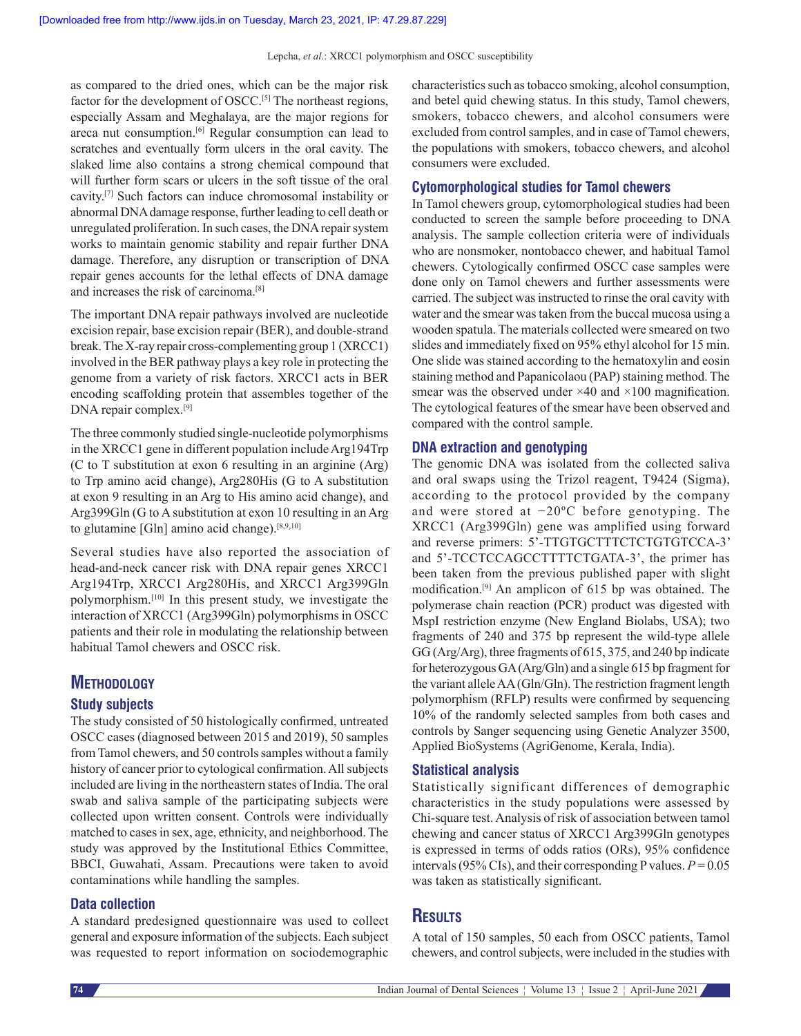as compared to the dried ones, which can be the major risk factor for the development of OSCC.<sup>[5]</sup> The northeast regions, especially Assam and Meghalaya, are the major regions for areca nut consumption.<sup>[6]</sup> Regular consumption can lead to scratches and eventually form ulcers in the oral cavity. The slaked lime also contains a strong chemical compound that will further form scars or ulcers in the soft tissue of the oral cavity.[7] Such factors can induce chromosomal instability or abnormal DNA damage response, further leading to cell death or unregulated proliferation. In such cases, the DNA repair system works to maintain genomic stability and repair further DNA damage. Therefore, any disruption or transcription of DNA repair genes accounts for the lethal effects of DNA damage and increases the risk of carcinoma.[8]

The important DNA repair pathways involved are nucleotide excision repair, base excision repair (BER), and double-strand break. The X-ray repair cross-complementing group 1 (XRCC1) involved in the BER pathway plays a key role in protecting the genome from a variety of risk factors. XRCC1 acts in BER encoding scaffolding protein that assembles together of the DNA repair complex.[9]

The three commonly studied single-nucleotide polymorphisms in the XRCC1 gene in different population include Arg194Trp (C to T substitution at exon 6 resulting in an arginine (Arg) to Trp amino acid change), Arg280His (G to A substitution at exon 9 resulting in an Arg to His amino acid change), and Arg399Gln (G to A substitution at exon 10 resulting in an Arg to glutamine [Gln] amino acid change).[8,9,10]

Several studies have also reported the association of head-and-neck cancer risk with DNA repair genes XRCC1 Arg194Trp, XRCC1 Arg280His, and XRCC1 Arg399Gln polymorphism.[10] In this present study, we investigate the interaction of XRCC1 (Arg399Gln) polymorphisms in OSCC patients and their role in modulating the relationship between habitual Tamol chewers and OSCC risk.

# **Methodology**

#### **Study subjects**

The study consisted of 50 histologically confirmed, untreated OSCC cases (diagnosed between 2015 and 2019), 50 samples from Tamol chewers, and 50 controls samples without a family history of cancer prior to cytological confirmation. All subjects included are living in the northeastern states of India. The oral swab and saliva sample of the participating subjects were collected upon written consent. Controls were individually matched to cases in sex, age, ethnicity, and neighborhood. The study was approved by the Institutional Ethics Committee, BBCI, Guwahati, Assam. Precautions were taken to avoid contaminations while handling the samples.

### **Data collection**

A standard predesigned questionnaire was used to collect general and exposure information of the subjects. Each subject was requested to report information on sociodemographic characteristics such as tobacco smoking, alcohol consumption, and betel quid chewing status. In this study, Tamol chewers, smokers, tobacco chewers, and alcohol consumers were excluded from control samples, and in case of Tamol chewers, the populations with smokers, tobacco chewers, and alcohol consumers were excluded.

#### **Cytomorphological studies for Tamol chewers**

In Tamol chewers group, cytomorphological studies had been conducted to screen the sample before proceeding to DNA analysis. The sample collection criteria were of individuals who are nonsmoker, nontobacco chewer, and habitual Tamol chewers. Cytologically confirmed OSCC case samples were done only on Tamol chewers and further assessments were carried. The subject was instructed to rinse the oral cavity with water and the smear was taken from the buccal mucosa using a wooden spatula. The materials collected were smeared on two slides and immediately fixed on 95% ethyl alcohol for 15 min. One slide was stained according to the hematoxylin and eosin staining method and Papanicolaou (PAP) staining method. The smear was the observed under  $\times$ 40 and  $\times$ 100 magnification. The cytological features of the smear have been observed and compared with the control sample.

#### **DNA extraction and genotyping**

The genomic DNA was isolated from the collected saliva and oral swaps using the Trizol reagent, T9424 (Sigma), according to the protocol provided by the company and were stored at −20ºC before genotyping. The XRCC1 (Arg399Gln) gene was amplified using forward and reverse primers: 5'‑TTGTGCTTTCTCTGTGTCCA‑3' and 5'‑TCCTCCAGCCTTTTCTGATA‑3', the primer has been taken from the previous published paper with slight modification.[9] An amplicon of 615 bp was obtained. The polymerase chain reaction (PCR) product was digested with MspI restriction enzyme (New England Biolabs, USA); two fragments of 240 and 375 bp represent the wild-type allele GG (Arg/Arg), three fragments of 615, 375, and 240 bp indicate for heterozygous GA(Arg/Gln) and a single 615 bp fragment for the variant allele AA(Gln/Gln). The restriction fragment length polymorphism (RFLP) results were confirmed by sequencing 10% of the randomly selected samples from both cases and controls by Sanger sequencing using Genetic Analyzer 3500, Applied BioSystems (AgriGenome, Kerala, India).

#### **Statistical analysis**

Statistically significant differences of demographic characteristics in the study populations were assessed by Chi‑square test. Analysis of risk of association between tamol chewing and cancer status of XRCC1 Arg399Gln genotypes is expressed in terms of odds ratios (ORs), 95% confidence intervals (95% CIs), and their corresponding P values.  $P = 0.05$ was taken as statistically significant.

# **Results**

A total of 150 samples, 50 each from OSCC patients, Tamol chewers, and control subjects, were included in the studies with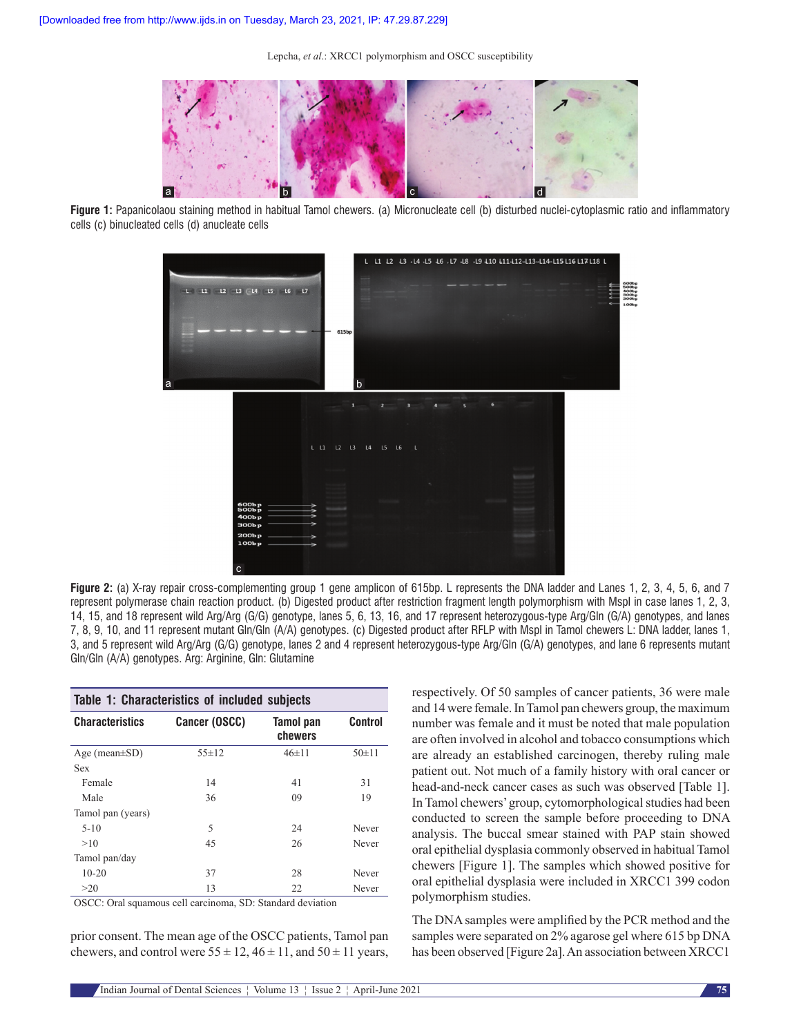

**Figure 1:** Papanicolaou staining method in habitual Tamol chewers. (a) Micronucleate cell (b) disturbed nuclei-cytoplasmic ratio and inflammatory cells (c) binucleated cells (d) anucleate cells



**Figure** 2: (a) X-ray repair cross-complementing group 1 gene amplicon of 615bp. L represents the DNA ladder and Lanes 1, 2, 3, 4, 5, 6, and 7 represent polymerase chain reaction product. (b) Digested product after restriction fragment length polymorphism with MspI in case lanes 1, 2, 3, 14, 15, and 18 represent wild Arg/Arg (G/G) genotype, lanes 5, 6, 13, 16, and 17 represent heterozygous‑type Arg/Gln (G/A) genotypes, and lanes 7, 8, 9, 10, and 11 represent mutant Gln/Gln (A/A) genotypes. (c) Digested product after RFLP with MspI in Tamol chewers L: DNA ladder, lanes 1, 3, and 5 represent wild Arg/Arg (G/G) genotype, lanes 2 and 4 represent heterozygous‑type Arg/Gln (G/A) genotypes, and lane 6 represents mutant Gln/Gln (A/A) genotypes. Arg: Arginine, Gln: Glutamine

| Table 1: Characteristics of included subjects  |                                               |
|------------------------------------------------|-----------------------------------------------|
| <b>Characteristics</b><br><b>Cancer (OSCC)</b> | <b>Control</b><br><b>Tamol</b> pan<br>chewers |
| Age (mean $\pm$ SD)                            | $50+11$                                       |
| $55 \pm 12$                                    | $46 \pm 11$                                   |
| Sex                                            |                                               |
| Female                                         | 41                                            |
| 14                                             | 31                                            |
| 36                                             | 09                                            |
| Male                                           | 19                                            |
| Tamol pan (years)                              |                                               |
| 5                                              | 24                                            |
| $5 - 10$                                       | Never                                         |
| 45                                             | 26                                            |
| >10                                            | Never                                         |
| Tamol pan/day                                  |                                               |
| $10 - 20$                                      | 28                                            |
| 37                                             | Never                                         |
| 13                                             | 22                                            |
| >20                                            | Never                                         |

OSCC: Oral squamous cell carcinoma, SD: Standard deviation

prior consent. The mean age of the OSCC patients, Tamol pan chewers, and control were  $55 \pm 12$ ,  $46 \pm 11$ , and  $50 \pm 11$  years, respectively. Of 50 samples of cancer patients, 36 were male and 14 were female. In Tamol pan chewers group, the maximum number was female and it must be noted that male population are often involved in alcohol and tobacco consumptions which are already an established carcinogen, thereby ruling male patient out. Not much of a family history with oral cancer or head-and-neck cancer cases as such was observed [Table 1]. In Tamol chewers' group, cytomorphological studies had been conducted to screen the sample before proceeding to DNA analysis. The buccal smear stained with PAP stain showed oral epithelial dysplasia commonly observed in habitual Tamol chewers [Figure 1]. The samples which showed positive for oral epithelial dysplasia were included in XRCC1 399 codon polymorphism studies.

The DNA samples were amplified by the PCR method and the samples were separated on 2% agarose gel where 615 bp DNA has been observed [Figure 2a]. An association between XRCC1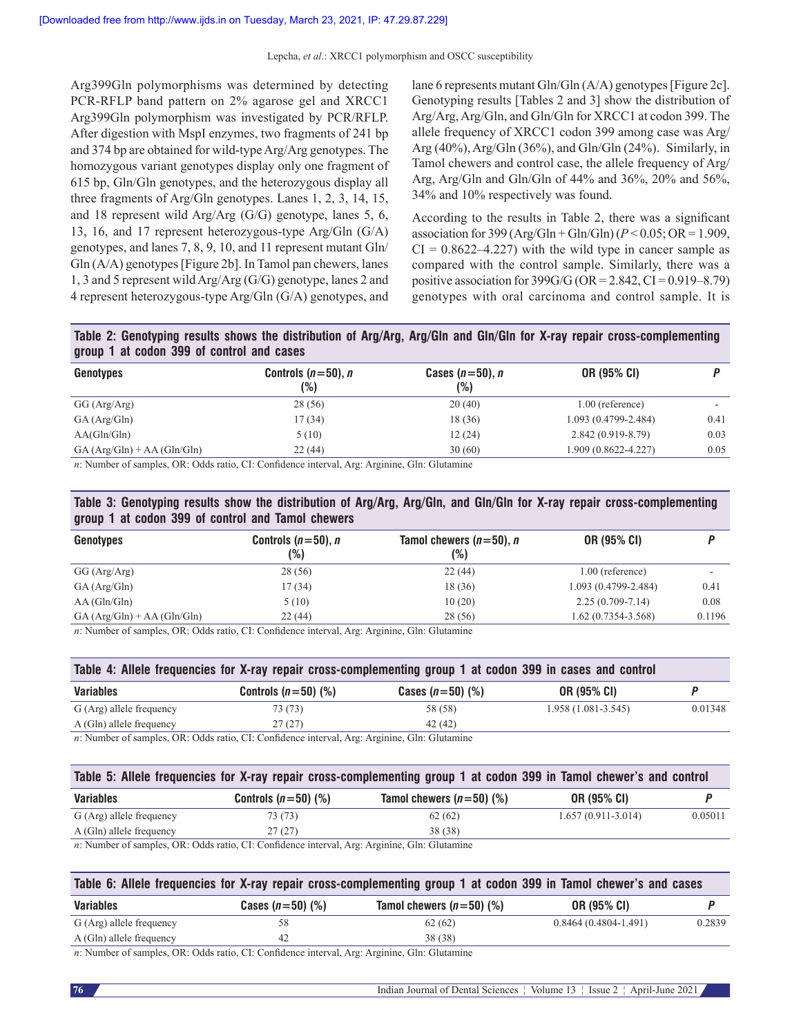Arg399Gln polymorphisms was determined by detecting PCR-RFLP band pattern on 2% agarose gel and XRCC1 Arg399Gln polymorphism was investigated by PCR/RFLP. After digestion with MspI enzymes, two fragments of 241 bp and 374 bp are obtained for wild-type Arg/Arg genotypes. The homozygous variant genotypes display only one fragment of 615 bp, Gln/Gln genotypes, and the heterozygous display all three fragments of Arg/Gln genotypes. Lanes 1, 2, 3, 14, 15, and 18 represent wild Arg/Arg (G/G) genotype, lanes 5, 6, 13, 16, and 17 represent heterozygous‑type Arg/Gln (G/A) genotypes, and lanes 7, 8, 9, 10, and 11 represent mutant Gln/  $Gln(A/A)$  genotypes [Figure 2b]. In Tamol pan chewers, lanes 1, 3 and 5 represent wild Arg/Arg (G/G) genotype, lanes 2 and 4 represent heterozygous‑type Arg/Gln (G/A) genotypes, and

lane 6 represents mutant Gln/Gln (A/A) genotypes [Figure 2c]. Genotyping results [Tables 2 and 3] show the distribution of Arg/Arg, Arg/Gln, and Gln/Gln for XRCC1 at codon 399. The allele frequency of XRCC1 codon 399 among case was Arg/ Arg  $(40\%)$ , Arg/Gln  $(36\%)$ , and Gln/Gln  $(24\%)$ . Similarly, in Tamol chewers and control case, the allele frequency of Arg/ Arg, Arg/Gln and Gln/Gln of 44% and 36%, 20% and 56%, 34% and 10% respectively was found.

According to the results in Table 2, there was a significant association for 399 ( $Arg/Gln + Gln/Gln$ )( $P < 0.05$ ; OR = 1.909,  $CI = 0.8622 - 4.227$  with the wild type in cancer sample as compared with the control sample. Similarly, there was a positive association for  $399G/G$  (OR = 2.842, CI = 0.919–8.79) genotypes with oral carcinoma and control sample. It is

# **Table 2: Genotyping results shows the distribution of Arg/Arg, Arg/Gln and Gln/Gln for X-ray repair cross-complementing group 1 at codon 399 of control and cases**

| Genotypes                   | Controls $(n=50)$ , n<br>(%) | Cases $(n=50)$ , n<br>(%) | OR (95% CI)          |      |
|-----------------------------|------------------------------|---------------------------|----------------------|------|
| GG (Arg/Arg)                | 28 (56)                      | 20(40)                    | $1.00$ (reference)   |      |
| GA(Arg/Gln)                 | 17 (34)                      | 18 (36)                   | 1.093 (0.4799-2.484) | 0.41 |
| AA(Gln/Gln)                 | 5(10)                        | 12(24)                    | $2.842(0.919-8.79)$  | 0.03 |
| $GA(Arg/Gln) + AA(Gln/Gln)$ | 22(44)                       | 30(60)                    | 1.909 (0.8622-4.227) | 0.05 |

*n*: Number of samples, OR: Odds ratio, CI: Confidence interval, Arg: Arginine, Gln: Glutamine

# **Table 3: Genotyping results show the distribution of Arg/Arg, Arg/Gln, and Gln/Gln for X-ray repair cross-complementing group 1 at codon 399 of control and Tamol chewers**

| Genotypes                   | Controls $(n=50)$ , n<br>(%) | Tamol chewers $(n=50)$ , n<br>(%) | <b>OR (95% CI)</b>      |        |
|-----------------------------|------------------------------|-----------------------------------|-------------------------|--------|
| GG (Arg/Arg)                | 28 (56)                      | 22(44)                            | $1.00$ (reference)      |        |
| GA(Arg/Gln)                 | 17 (34)                      | 18 (36)                           | $1.093(0.4799 - 2.484)$ | 0.41   |
| AA(Gln/Gln)                 | 5(10)                        | 10(20)                            | $2.25(0.709 - 7.14)$    | 0.08   |
| $GA(Arg/Gln) + AA(Gln/Gln)$ | 22(44)                       | 28 (56)                           | $1.62(0.7354 - 3.568)$  | 0.1196 |

*n*: Number of samples, OR: Odds ratio, CI: Confidence interval, Arg: Arginine, Gln: Glutamine

| Table 4: Allele frequencies for X-ray repair cross-complementing group 1 at codon 399 in cases and control |                       |                    |                      |         |  |  |
|------------------------------------------------------------------------------------------------------------|-----------------------|--------------------|----------------------|---------|--|--|
| Variables                                                                                                  | Controls $(n=50)$ (%) | Cases $(n=50)$ (%) | OR (95% CI)          |         |  |  |
| G (Arg) allele frequency                                                                                   | 73 (73)               | 58 (58)            | $1.958(1.081-3.545)$ | 0.01348 |  |  |
| A (Gln) allele frequency                                                                                   | 27(27)                | 42 (42)            |                      |         |  |  |
| w Number of complex OB, Odds rotic CL Confidence interval Argu Argining Cln: Clutomine                     |                       |                    |                      |         |  |  |

*n*: Number of samples, OR: Odds ratio, CI: Confidence interval, Arg: Arginine, Gln: Glutamine

| Table 5: Allele frequencies for X-ray repair cross-complementing group 1 at codon 399 in Tamol chewer's and control |                                                                                                      |                            |                      |         |  |  |
|---------------------------------------------------------------------------------------------------------------------|------------------------------------------------------------------------------------------------------|----------------------------|----------------------|---------|--|--|
| Variables                                                                                                           | Controls $(n=50)$ (%)                                                                                | Tamol chewers $(n=50)$ (%) | <b>OR (95% CI)</b>   |         |  |  |
| G (Arg) allele frequency                                                                                            | 73 (73)                                                                                              | 62(62)                     | $1.657(0.911-3.014)$ | 0.05011 |  |  |
| A (Gln) allele frequency                                                                                            | 27(27)                                                                                               | 38 (38)                    |                      |         |  |  |
|                                                                                                                     | $\mu$ . Number of camples $\Omega$ . Odds ratio CI: Confidence interval Arg. Arginine Gln: Glutamine |                            |                      |         |  |  |

amples, OR: Odds ratio, CI: Confidence interval, Arg: Arg

| Table 6: Allele frequencies for X-ray repair cross-complementing group 1 at codon 399 in Tamol chewer's and cases |                    |                                    |                          |        |  |  |
|-------------------------------------------------------------------------------------------------------------------|--------------------|------------------------------------|--------------------------|--------|--|--|
| Variables                                                                                                         | Cases $(n=50)$ (%) | Tamol chewers $(n=50)$ (%)         | <b>OR (95% CI)</b>       |        |  |  |
| G (Arg) allele frequency                                                                                          | 58                 | 62(62)                             | $0.8464(0.4804 - 1.491)$ | 0.2839 |  |  |
| A (Gln) allele frequency                                                                                          | 42                 | 38 (38)                            |                          |        |  |  |
|                                                                                                                   |                    | $\sim$ $\sim$ $\sim$ $\sim$ $\sim$ |                          |        |  |  |

*n*: Number of samples, OR: Odds ratio, CI: Confidence interval, Arg: Arginine, Gln: Glutamine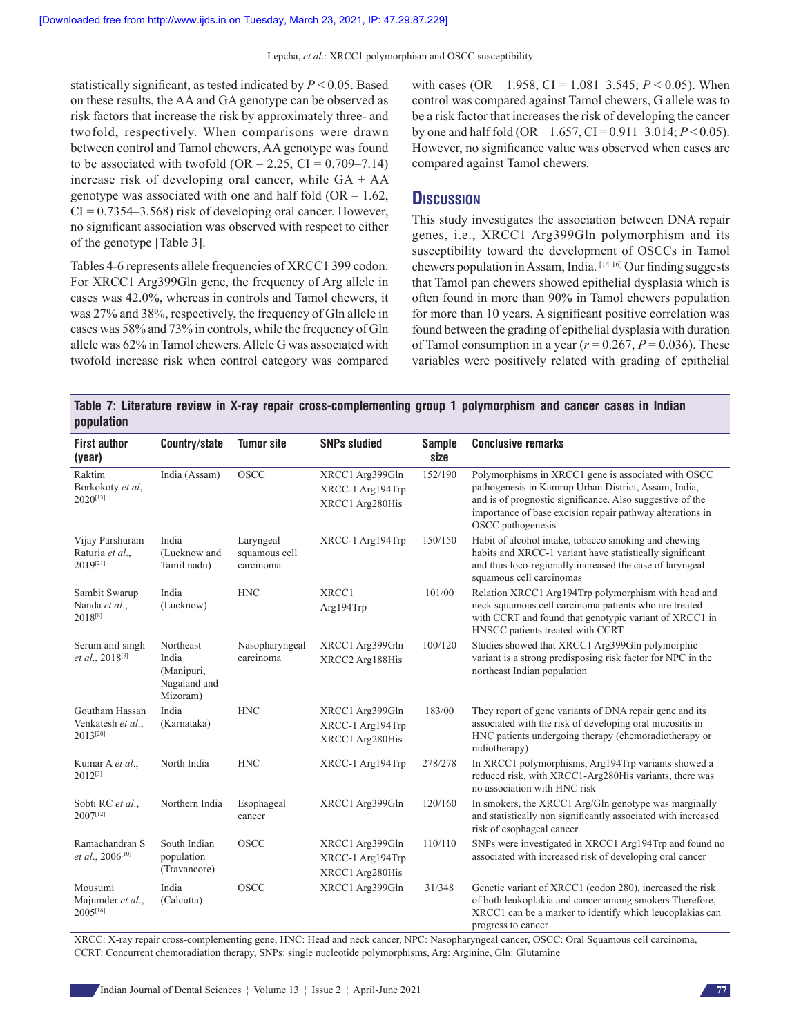statistically significant, as tested indicated by *P* < 0.05. Based on these results, the AA and GA genotype can be observed as risk factors that increase the risk by approximately three- and twofold, respectively. When comparisons were drawn between control and Tamol chewers, AA genotype was found to be associated with twofold  $(OR - 2.25, CI = 0.709 - 7.14)$ increase risk of developing oral cancer, while GA + AA genotype was associated with one and half fold  $(OR - 1.62,$  $CI = 0.7354 - 3.568$  risk of developing oral cancer. However, no significant association was observed with respect to either of the genotype [Table 3].

Tables 4‑6 represents allele frequencies of XRCC1 399 codon. For XRCC1 Arg399Gln gene, the frequency of Arg allele in cases was 42.0%, whereas in controls and Tamol chewers, it was 27% and 38%, respectively, the frequency of Gln allele in cases was 58% and 73% in controls, while the frequency of Gln allele was 62% in Tamol chewers. Allele G was associated with twofold increase risk when control category was compared with cases (OR – 1.958, CI = 1.081–3.545; *P* < 0.05). When control was compared against Tamol chewers, G allele was to be a risk factor that increases the risk of developing the cancer by one and half fold (OR – 1.657, CI = 0.911–3.014;  $P < 0.05$ ). However, no significance value was observed when cases are compared against Tamol chewers.

# **Discussion**

This study investigates the association between DNA repair genes, i.e., XRCC1 Arg399Gln polymorphism and its susceptibility toward the development of OSCCs in Tamol chewers population in Assam, India. [14-16] Our finding suggests that Tamol pan chewers showed epithelial dysplasia which is often found in more than 90% in Tamol chewers population for more than 10 years. A significant positive correlation was found between the grading of epithelial dysplasia with duration of Tamol consumption in a year  $(r = 0.267, P = 0.036)$ . These variables were positively related with grading of epithelial

|            |  | Table 7: Literature review in X-ray repair cross-complementing group 1 polymorphism and cancer cases in Indian |  |  |  |
|------------|--|----------------------------------------------------------------------------------------------------------------|--|--|--|
| population |  |                                                                                                                |  |  |  |

| <b>First author</b><br>(year)                   | Country/state                                                | <b>Tumor site</b>                       | <b>SNPs studied</b>                                    | <b>Sample</b><br>size | <b>Conclusive remarks</b>                                                                                                                                                                                                                                  |
|-------------------------------------------------|--------------------------------------------------------------|-----------------------------------------|--------------------------------------------------------|-----------------------|------------------------------------------------------------------------------------------------------------------------------------------------------------------------------------------------------------------------------------------------------------|
| Raktim<br>Borkokoty et al,<br>$2020^{[13]}$     | India (Assam)                                                | <b>OSCC</b>                             | XRCC1 Arg399Gln<br>XRCC-1 Arg194Trp<br>XRCC1 Arg280His | 152/190               | Polymorphisms in XRCC1 gene is associated with OSCC<br>pathogenesis in Kamrup Urban District, Assam, India,<br>and is of prognostic significance. Also suggestive of the<br>importance of base excision repair pathway alterations in<br>OSCC pathogenesis |
| Vijay Parshuram<br>Raturia et al.,<br>2019[21]  | India<br>(Lucknow and<br>Tamil nadu)                         | Laryngeal<br>squamous cell<br>carcinoma | XRCC-1 Arg194Trp                                       | 150/150               | Habit of alcohol intake, tobacco smoking and chewing<br>habits and XRCC-1 variant have statistically significant<br>and thus loco-regionally increased the case of laryngeal<br>squamous cell carcinomas                                                   |
| Sambit Swarup<br>Nanda et al.,<br>2018[8]       | India<br>(Lucknow)                                           | <b>HNC</b>                              | XRCC1<br>Arg194Trp                                     | 101/00                | Relation XRCC1 Arg194Trp polymorphism with head and<br>neck squamous cell carcinoma patients who are treated<br>with CCRT and found that genotypic variant of XRCC1 in<br>HNSCC patients treated with CCRT                                                 |
| Serum anil singh<br>et al., 2018 <sup>[9]</sup> | Northeast<br>India<br>(Manipuri,<br>Nagaland and<br>Mizoram) | Nasopharyngeal<br>carcinoma             | XRCC1 Arg399Gln<br>XRCC2 Arg188His                     | 100/120               | Studies showed that XRCC1 Arg399Gln polymorphic<br>variant is a strong predisposing risk factor for NPC in the<br>northeast Indian population                                                                                                              |
| Goutham Hassan<br>Venkatesh et al.,<br>2013[20] | India<br>(Karnataka)                                         | <b>HNC</b>                              | XRCC1 Arg399Gln<br>XRCC-1 Arg194Trp<br>XRCC1 Arg280His | 183/00                | They report of gene variants of DNA repair gene and its<br>associated with the risk of developing oral mucositis in<br>HNC patients undergoing therapy (chemoradiotherapy or<br>radiotherapy)                                                              |
| Kumar A et al.,<br>$2012^{[3]}$                 | North India                                                  | <b>HNC</b>                              | XRCC-1 Arg194Trp                                       | 278/278               | In XRCC1 polymorphisms, Arg194Trp variants showed a<br>reduced risk, with XRCC1-Arg280His variants, there was<br>no association with HNC risk                                                                                                              |
| Sobti RC et al.,<br>2007[12]                    | Northern India                                               | Esophageal<br>cancer                    | XRCC1 Arg399Gln                                        | 120/160               | In smokers, the XRCC1 Arg/Gln genotype was marginally<br>and statistically non significantly associated with increased<br>risk of esophageal cancer                                                                                                        |
| Ramachandran S<br>et al., 2006[10]              | South Indian<br>population<br>(Travancore)                   | <b>OSCC</b>                             | XRCC1 Arg399Gln<br>XRCC-1 Arg194Trp<br>XRCC1 Arg280His | 110/110               | SNPs were investigated in XRCC1 Arg194Trp and found no<br>associated with increased risk of developing oral cancer                                                                                                                                         |
| Mousumi<br>Majumder et al.,<br>2005[16]         | India<br>(Calcutta)                                          | <b>OSCC</b>                             | XRCC1 Arg399Gln                                        | 31/348                | Genetic variant of XRCC1 (codon 280), increased the risk<br>of both leukoplakia and cancer among smokers Therefore,<br>XRCC1 can be a marker to identify which leucoplakias can<br>progress to cancer                                                      |

XRCC: X-ray repair cross-complementing gene, HNC: Head and neck cancer, NPC: Nasopharyngeal cancer, OSCC: Oral Squamous cell carcinoma, CCRT: Concurrent chemoradiation therapy, SNPs: single nucleotide polymorphisms, Arg: Arginine, Gln: Glutamine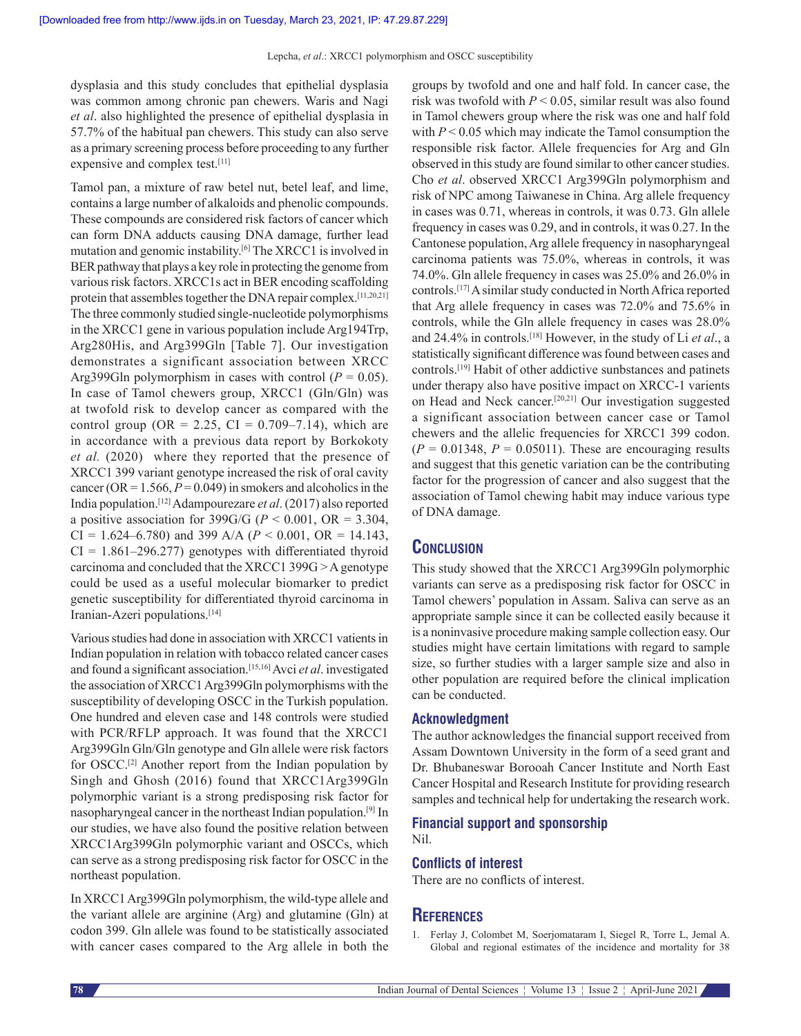dysplasia and this study concludes that epithelial dysplasia was common among chronic pan chewers. Waris and Nagi *et al*. also highlighted the presence of epithelial dysplasia in 57.7% of the habitual pan chewers. This study can also serve as a primary screening process before proceeding to any further expensive and complex test.[11]

Tamol pan, a mixture of raw betel nut, betel leaf, and lime, contains a large number of alkaloids and phenolic compounds. These compounds are considered risk factors of cancer which can form DNA adducts causing DNA damage, further lead mutation and genomic instability.[6] The XRCC1 is involved in BER pathway that plays a key role in protecting the genome from various risk factors. XRCC1s act in BER encoding scaffolding protein that assembles together the DNA repair complex.[11,20,21] The three commonly studied single-nucleotide polymorphisms in the XRCC1 gene in various population include Arg194Trp, Arg280His, and Arg399Gln [Table 7]. Our investigation demonstrates a significant association between XRCC Arg399Gln polymorphism in cases with control  $(P = 0.05)$ . In case of Tamol chewers group, XRCC1 (Gln/Gln) was at twofold risk to develop cancer as compared with the control group (OR = 2.25, CI =  $0.709-7.14$ ), which are in accordance with a previous data report by Borkokoty *et al.* (2020) where they reported that the presence of XRCC1 399 variant genotype increased the risk of oral cavity cancer (OR =  $1.566$ ,  $P = 0.049$ ) in smokers and alcoholics in the India population.[12] Adampourezare *et al*. (2017) also reported a positive association for 399G/G ( $P < 0.001$ , OR = 3.304, CI = 1.624–6.780) and 399 A/A ( $P < 0.001$ , OR = 14.143,  $CI = 1.861 - 296.277$  genotypes with differentiated thyroid carcinoma and concluded that the XRCC1 399G >A genotype could be used as a useful molecular biomarker to predict genetic susceptibility for differentiated thyroid carcinoma in Iranian-Azeri populations.<sup>[14]</sup>

Various studies had done in association with XRCC1 vatients in Indian population in relation with tobacco related cancer cases and found a significant association.[15,16] Avci *et al*. investigated the association of XRCC1 Arg399Gln polymorphisms with the susceptibility of developing OSCC in the Turkish population. One hundred and eleven case and 148 controls were studied with PCR/RFLP approach. It was found that the XRCC1 Arg399Gln Gln/Gln genotype and Gln allele were risk factors for OSCC.[2] Another report from the Indian population by Singh and Ghosh (2016) found that XRCC1Arg399Gln polymorphic variant is a strong predisposing risk factor for nasopharyngeal cancer in the northeast Indian population.[9] In our studies, we have also found the positive relation between XRCC1Arg399Gln polymorphic variant and OSCCs, which can serve as a strong predisposing risk factor for OSCC in the northeast population.

In XRCC1 Arg399Gln polymorphism, the wild-type allele and the variant allele are arginine (Arg) and glutamine (Gln) at codon 399. Gln allele was found to be statistically associated with cancer cases compared to the Arg allele in both the groups by twofold and one and half fold. In cancer case, the risk was twofold with *P* < 0.05, similar result was also found in Tamol chewers group where the risk was one and half fold with *P* < 0.05 which may indicate the Tamol consumption the responsible risk factor. Allele frequencies for Arg and Gln observed in this study are found similar to other cancer studies. Cho *et al*. observed XRCC1 Arg399Gln polymorphism and risk of NPC among Taiwanese in China. Arg allele frequency in cases was 0.71, whereas in controls, it was 0.73. Gln allele frequency in cases was 0.29, and in controls, it was 0.27. In the Cantonese population, Arg allele frequency in nasopharyngeal carcinoma patients was 75.0%, whereas in controls, it was 74.0%. Gln allele frequency in cases was 25.0% and 26.0% in controls.[17] A similar study conducted in North Africa reported that Arg allele frequency in cases was 72.0% and 75.6% in controls, while the Gln allele frequency in cases was 28.0% and 24.4% in controls.[18] However, in the study of Li *et al*., a statistically significant difference was found between cases and controls.[19] Habit of other addictive sunbstances and patinets under therapy also have positive impact on XRCC-1 varients on Head and Neck cancer.[20,21] Our investigation suggested a significant association between cancer case or Tamol chewers and the allelic frequencies for XRCC1 399 codon.  $(P = 0.01348, P = 0.05011)$ . These are encouraging results and suggest that this genetic variation can be the contributing factor for the progression of cancer and also suggest that the association of Tamol chewing habit may induce various type of DNA damage.

# **Conclusion**

This study showed that the XRCC1 Arg399Gln polymorphic variants can serve as a predisposing risk factor for OSCC in Tamol chewers' population in Assam. Saliva can serve as an appropriate sample since it can be collected easily because it is a noninvasive procedure making sample collection easy. Our studies might have certain limitations with regard to sample size, so further studies with a larger sample size and also in other population are required before the clinical implication can be conducted.

#### **Acknowledgment**

The author acknowledges the financial support received from Assam Downtown University in the form of a seed grant and Dr. Bhubaneswar Borooah Cancer Institute and North East Cancer Hospital and Research Institute for providing research samples and technical help for undertaking the research work.

#### **Financial support and sponsorship** Nil.

#### **Conflicts of interest**

There are no conflicts of interest.

### **References**

1. Ferlay J, Colombet M, Soerjomataram I, Siegel R, Torre L, Jemal A. Global and regional estimates of the incidence and mortality for 38